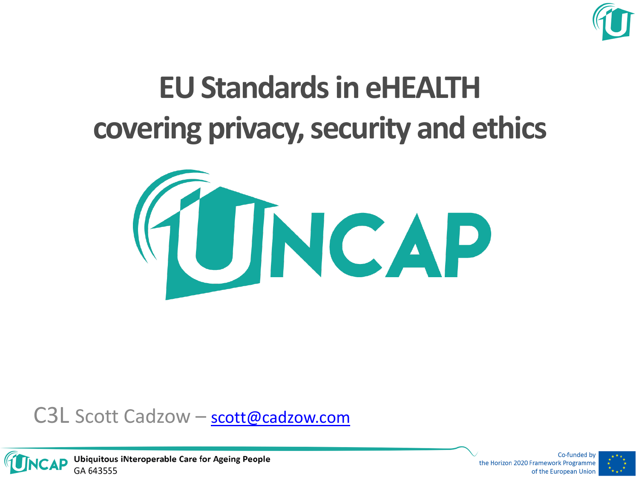

## **EU Standards in eHEALTH covering privacy, security and ethics**







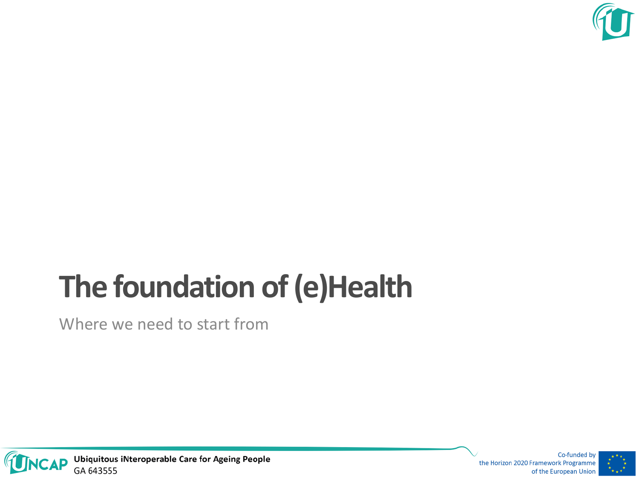

## **The foundation of (e)Health**

Where we need to start from



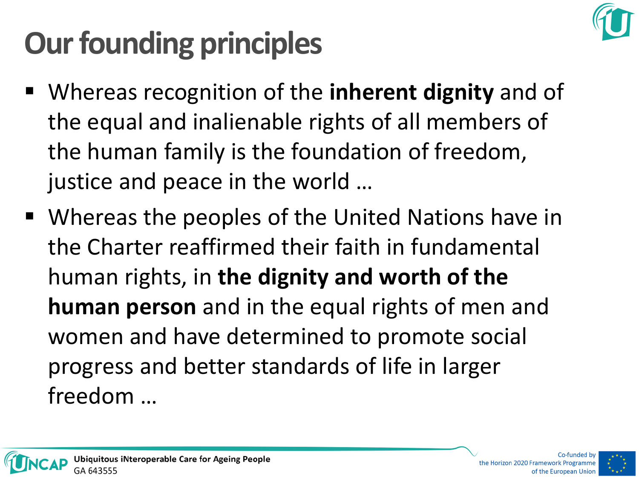

# **Our founding principles**

- Whereas recognition of the **inherent dignity** and of the equal and inalienable rights of all members of the human family is the foundation of freedom, justice and peace in the world …
- Whereas the peoples of the United Nations have in the Charter reaffirmed their faith in fundamental human rights, in **the dignity and worth of the human person** and in the equal rights of men and women and have determined to promote social progress and better standards of life in larger freedom …

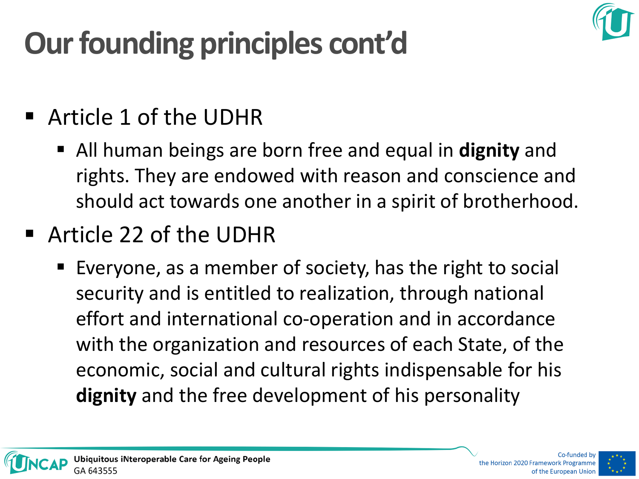# **Our founding principles cont'd**

- Article 1 of the UDHR
	- All human beings are born free and equal in **dignity** and rights. They are endowed with reason and conscience and should act towards one another in a spirit of brotherhood.
- Article 22 of the UDHR
	- Everyone, as a member of society, has the right to social security and is entitled to realization, through national effort and international co-operation and in accordance with the organization and resources of each State, of the economic, social and cultural rights indispensable for his **dignity** and the free development of his personality



the Horizon 2020 Framework Programme of the European Unior

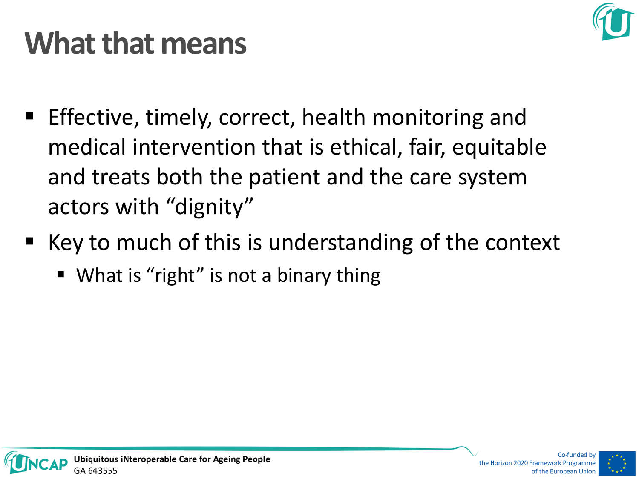

#### **What that means**

- Effective, timely, correct, health monitoring and medical intervention that is ethical, fair, equitable and treats both the patient and the care system actors with "dignity"
- Key to much of this is understanding of the context
	- What is "right" is not a binary thing

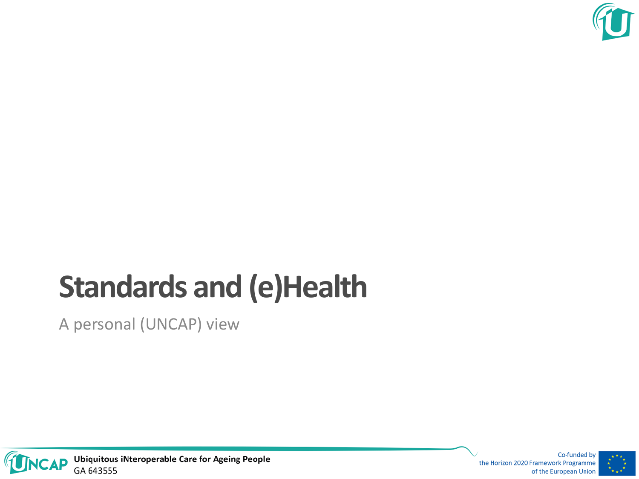

## **Standards and (e)Health**

A personal (UNCAP) view



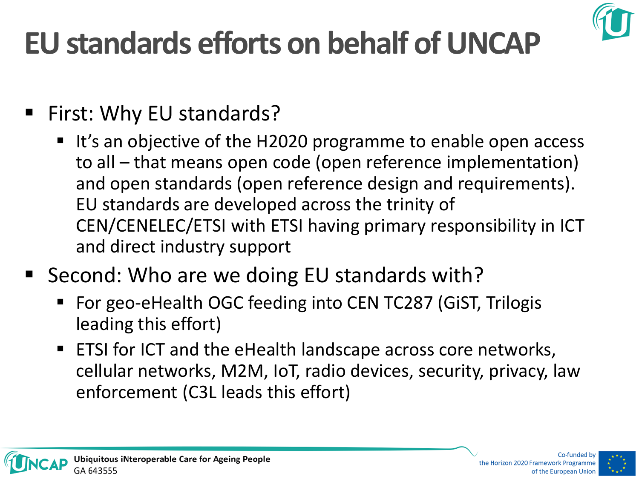## **EU standards efforts on behalf of UNCAP**



- First: Why EU standards?
	- It's an objective of the H2020 programme to enable open access to all – that means open code (open reference implementation) and open standards (open reference design and requirements). EU standards are developed across the trinity of CEN/CENELEC/ETSI with ETSI having primary responsibility in ICT and direct industry support
- Second: Who are we doing EU standards with?
	- For geo-eHealth OGC feeding into CEN TC287 (GiST, Trilogis leading this effort)
	- ETSI for ICT and the eHealth landscape across core networks, cellular networks, M2M, IoT, radio devices, security, privacy, law enforcement (C3L leads this effort)



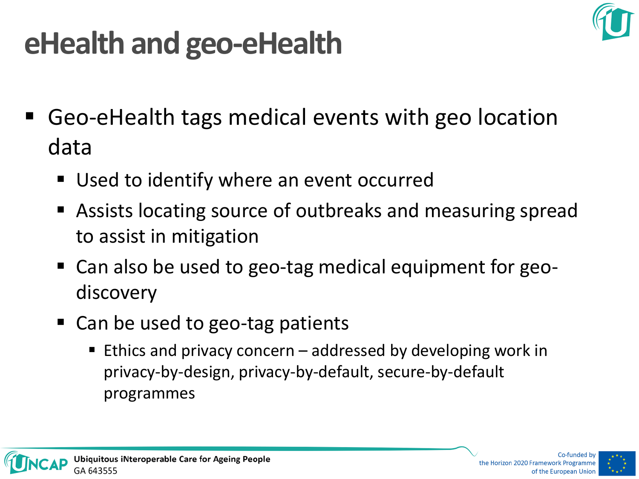

#### **eHealth and geo-eHealth**

- Geo-eHealth tags medical events with geo location data
	- Used to identify where an event occurred
	- Assists locating source of outbreaks and measuring spread to assist in mitigation
	- Can also be used to geo-tag medical equipment for geodiscovery
	- Can be used to geo-tag patients
		- **Ethics and privacy concern** addressed by developing work in privacy-by-design, privacy-by-default, secure-by-default programmes

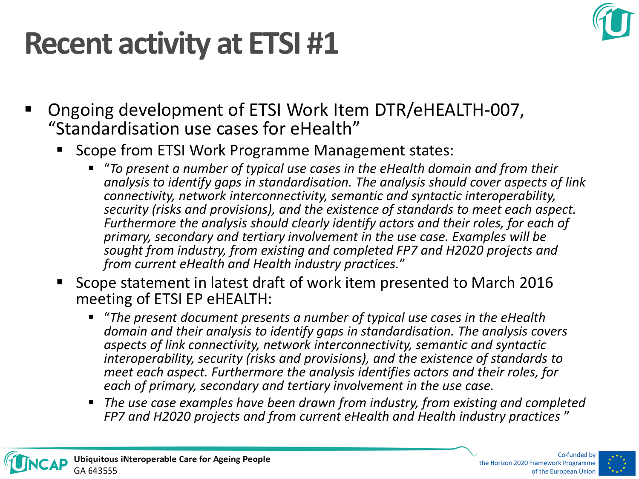#### **Recent activity at ETSI #1**



- Ongoing development of ETSI Work Item DTR/eHEALTH-007, "Standardisation use cases for eHealth"
	- Scope from ETSI Work Programme Management states:
		- "*To present a number of typical use cases in the eHealth domain and from their analysis to identify gaps in standardisation. The analysis should cover aspects of link connectivity, network interconnectivity, semantic and syntactic interoperability, security (risks and provisions), and the existence of standards to meet each aspect. Furthermore the analysis should clearly identify actors and their roles, for each of primary, secondary and tertiary involvement in the use case. Examples will be sought from industry, from existing and completed FP7 and H2020 projects and from current eHealth and Health industry practices.*"
	- Scope statement in latest draft of work item presented to March 2016 meeting of ETSI EP eHEALTH:
		- "*The present document presents a number of typical use cases in the eHealth domain and their analysis to identify gaps in standardisation. The analysis covers aspects of link connectivity, network interconnectivity, semantic and syntactic interoperability, security (risks and provisions), and the existence of standards to meet each aspect. Furthermore the analysis identifies actors and their roles, for each of primary, secondary and tertiary involvement in the use case.*
		- *The use case examples have been drawn from industry, from existing and completed FP7 and H2020 projects and from current eHealth and Health industry practices* "

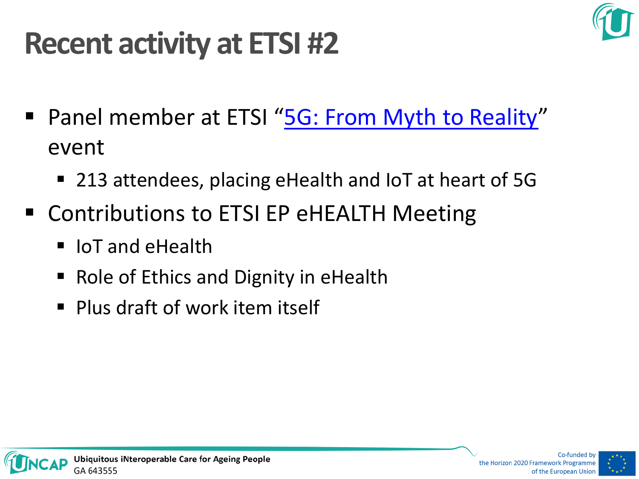

#### **Recent activity at ETSI #2**

- Panel member at ETSI "[5G: From Myth to Reality](http://www.etsi.org/news-events/events/1025-2016-04-5g-from-myth-to-reality)" event
	- 213 attendees, placing eHealth and IoT at heart of 5G
- Contributions to ETSI EP eHEALTH Meeting
	- $\blacksquare$  IoT and eHealth
	- Role of Ethics and Dignity in eHealth
	- **Plus draft of work item itself**

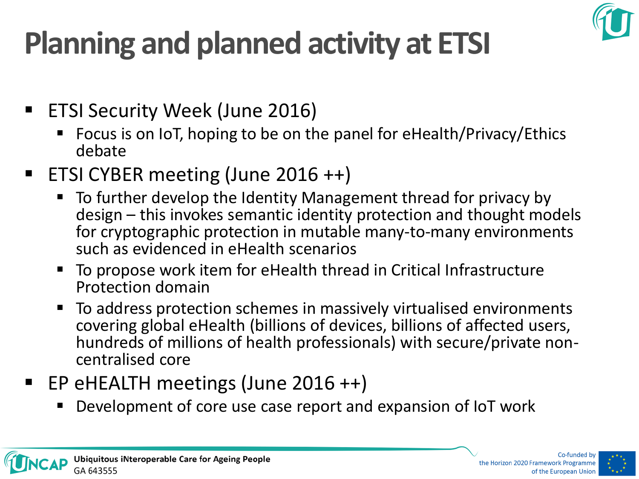

# **Planning and planned activity at ETSI**

- ETSI Security Week (June 2016)
	- Focus is on IoT, hoping to be on the panel for eHealth/Privacy/Ethics debate
- ETSI CYBER meeting (June 2016 ++)
	- To further develop the Identity Management thread for privacy by design – this invokes semantic identity protection and thought models for cryptographic protection in mutable many-to-many environments such as evidenced in eHealth scenarios
	- To propose work item for eHealth thread in Critical Infrastructure Protection domain
	- To address protection schemes in massively virtualised environments covering global eHealth (billions of devices, billions of affected users, hundreds of millions of health professionals) with secure/private noncentralised core
- EP eHEALTH meetings (June 2016 ++)
	- Development of core use case report and expansion of IoT work

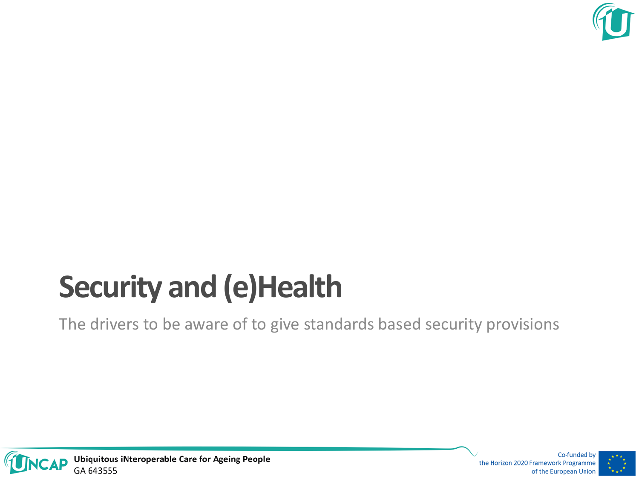

## **Security and (e)Health**

The drivers to be aware of to give standards based security provisions



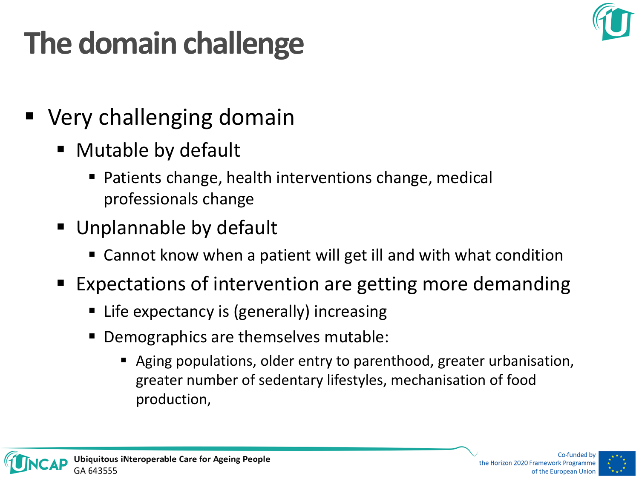

## **The domain challenge**

- Very challenging domain
	- Mutable by default
		- Patients change, health interventions change, medical professionals change
	- Unplannable by default
		- Cannot know when a patient will get ill and with what condition
	- Expectations of intervention are getting more demanding
		- Life expectancy is (generally) increasing
		- Demographics are themselves mutable:
			- Aging populations, older entry to parenthood, greater urbanisation, greater number of sedentary lifestyles, mechanisation of food production,

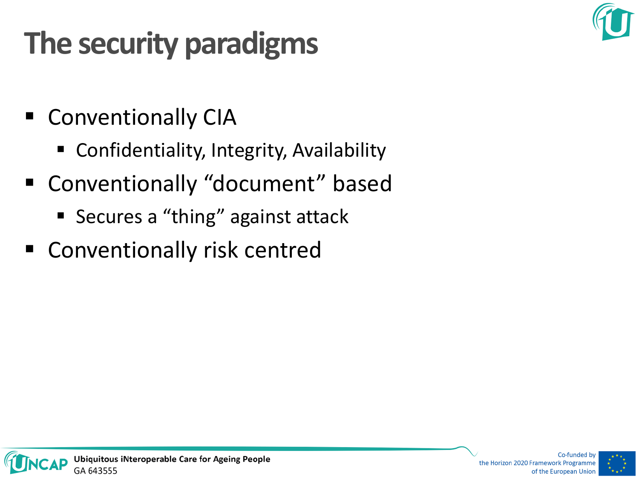## **The security paradigms**

- **E** Conventionally CIA
	- Confidentiality, Integrity, Availability
- Conventionally "document" based
	- Secures a "thing" against attack
- Conventionally risk centred

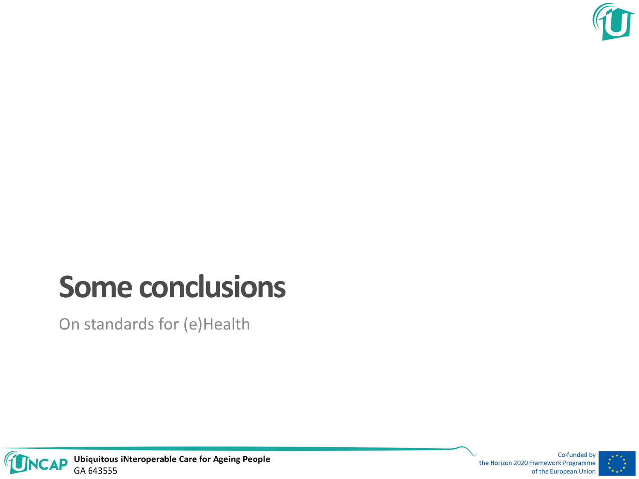

#### **Some conclusions**

On standards for (e)Health



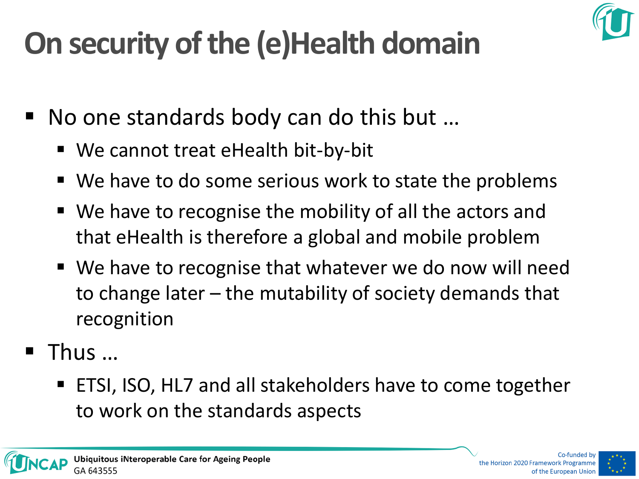

## **On security of the (e)Health domain**

- No one standards body can do this but …
	- We cannot treat eHealth bit-by-bit
	- We have to do some serious work to state the problems
	- We have to recognise the mobility of all the actors and that eHealth is therefore a global and mobile problem
	- We have to recognise that whatever we do now will need to change later – the mutability of society demands that recognition
- Thus …
	- ETSI, ISO, HL7 and all stakeholders have to come together to work on the standards aspects



the Horizon 2020 Framework Programme of the European Unior

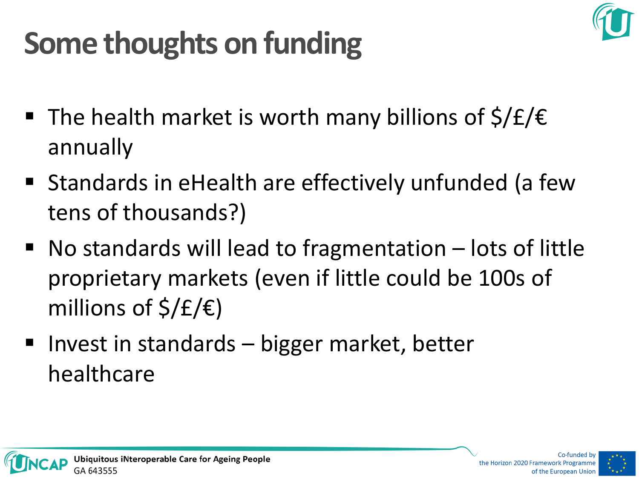

## **Some thoughts on funding**

- The health market is worth many billions of  $\frac{1}{2}$   $\frac{1}{2}$   $\frac{1}{2}$ annually
- Standards in eHealth are effectively unfunded (a few tens of thousands?)
- $\blacksquare$  No standards will lead to fragmentation  $-$  lots of little proprietary markets (even if little could be 100s of millions of  $\frac{\xi}{E}\in$
- Invest in standards  $-$  bigger market, better healthcare